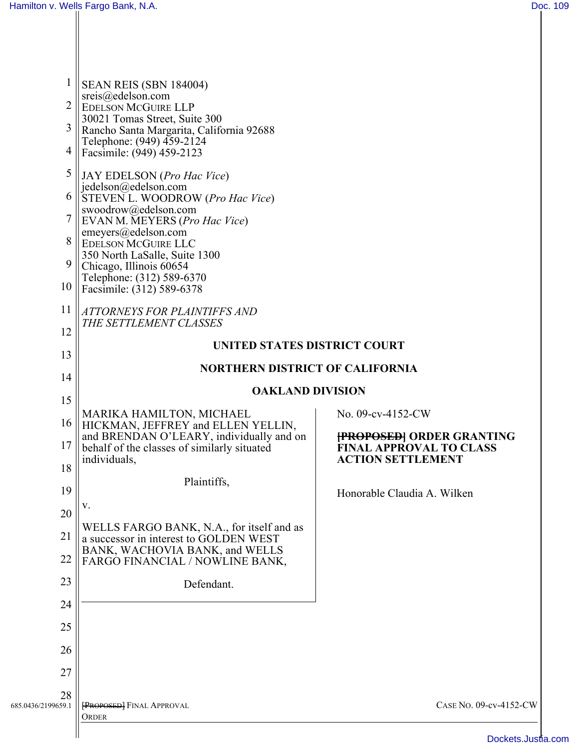| $\mathbf{1}$<br>$\overline{2}$<br>3<br>4<br>5<br>6<br>$\boldsymbol{7}$<br>8<br>9 | SEAN REIS (SBN 184004)<br>sreis@edelson.com<br><b>EDELSON MCGUIRE LLP</b><br>30021 Tomas Street, Suite 300<br>Rancho Santa Margarita, California 92688<br>Telephone: (949) 459-2124<br>Facsimile: (949) 459-2123<br>JAY EDELSON (Pro Hac Vice)<br>jedelson@edelson.com<br>STEVEN L. WOODROW (Pro Hac Vice)<br>swoodrow@edelson.com<br>EVAN M. MEYERS (Pro Hac Vice)<br>emeyers@edelson.com<br>EDELSON MCGUIRE LLC<br>350 North LaSalle, Suite 1300<br>Chicago, Illinois 60654 |                                                                                                |  |
|----------------------------------------------------------------------------------|-------------------------------------------------------------------------------------------------------------------------------------------------------------------------------------------------------------------------------------------------------------------------------------------------------------------------------------------------------------------------------------------------------------------------------------------------------------------------------|------------------------------------------------------------------------------------------------|--|
| 10                                                                               | Telephone: (312) 589-6370<br>Facsimile: (312) 589-6378                                                                                                                                                                                                                                                                                                                                                                                                                        |                                                                                                |  |
| 11<br>12                                                                         | <b>ATTORNEYS FOR PLAINTIFFS AND</b><br>THE SETTLEMENT CLASSES                                                                                                                                                                                                                                                                                                                                                                                                                 |                                                                                                |  |
| 13                                                                               | UNITED STATES DISTRICT COURT                                                                                                                                                                                                                                                                                                                                                                                                                                                  |                                                                                                |  |
| 14                                                                               | NORTHERN DISTRICT OF CALIFORNIA                                                                                                                                                                                                                                                                                                                                                                                                                                               |                                                                                                |  |
| 15                                                                               | <b>OAKLAND DIVISION</b>                                                                                                                                                                                                                                                                                                                                                                                                                                                       |                                                                                                |  |
| 16                                                                               | MARIKA HAMILTON, MICHAEL<br>HICKMAN, JEFFREY and ELLEN YELLIN,                                                                                                                                                                                                                                                                                                                                                                                                                | No. 09-cv-4152-CW                                                                              |  |
| 17                                                                               | and BRENDAN O'LEARY, individually and on<br>behalf of the classes of similarly situated                                                                                                                                                                                                                                                                                                                                                                                       | <b>FROPOSED   ORDER GRANTING</b><br><b>FINAL APPROVAL TO CLASS</b><br><b>ACTION SETTLEMENT</b> |  |
| 18                                                                               | individuals,                                                                                                                                                                                                                                                                                                                                                                                                                                                                  |                                                                                                |  |
| 19                                                                               | Plaintiffs,                                                                                                                                                                                                                                                                                                                                                                                                                                                                   | Honorable Claudia A. Wilken                                                                    |  |
| 20                                                                               | V.<br>WELLS FARGO BANK, N.A., for itself and as                                                                                                                                                                                                                                                                                                                                                                                                                               |                                                                                                |  |
| 21<br>22                                                                         | a successor in interest to GOLDEN WEST<br>BANK, WACHOVIA BANK, and WELLS                                                                                                                                                                                                                                                                                                                                                                                                      |                                                                                                |  |
| 23                                                                               | FARGO FINANCIAL / NOWLINE BANK,                                                                                                                                                                                                                                                                                                                                                                                                                                               |                                                                                                |  |
| 24                                                                               | Defendant.                                                                                                                                                                                                                                                                                                                                                                                                                                                                    |                                                                                                |  |
| 25                                                                               |                                                                                                                                                                                                                                                                                                                                                                                                                                                                               |                                                                                                |  |
| 26                                                                               |                                                                                                                                                                                                                                                                                                                                                                                                                                                                               |                                                                                                |  |
| 27                                                                               |                                                                                                                                                                                                                                                                                                                                                                                                                                                                               |                                                                                                |  |
| 28<br>685.0436/2199659.1                                                         | <b>FROPOSED</b> FINAL APPROVAL<br>ORDER                                                                                                                                                                                                                                                                                                                                                                                                                                       | CASE No. 09-cv-4152-CW                                                                         |  |
|                                                                                  |                                                                                                                                                                                                                                                                                                                                                                                                                                                                               | Dockate luet                                                                                   |  |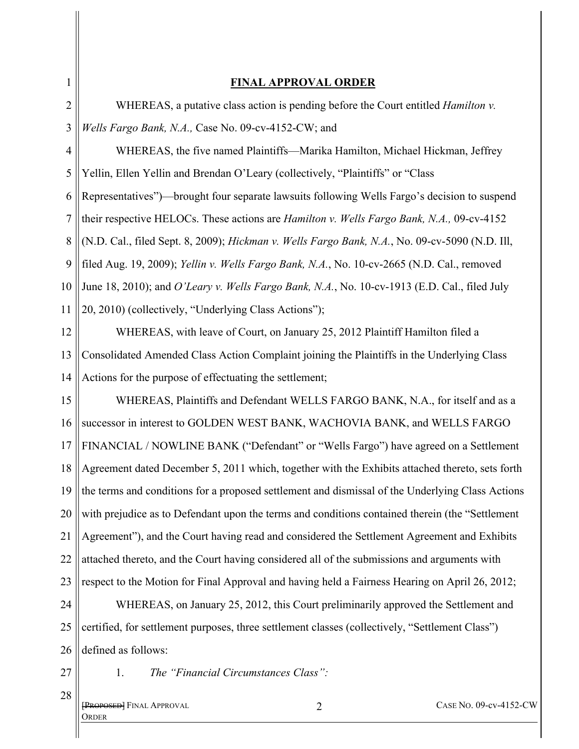| 1              | <b>FINAL APPROVAL ORDER</b>                                                                               |
|----------------|-----------------------------------------------------------------------------------------------------------|
| 2              | WHEREAS, a putative class action is pending before the Court entitled <i>Hamilton v</i> .                 |
| 3              | Wells Fargo Bank, N.A., Case No. 09-cv-4152-CW; and                                                       |
| $\overline{4}$ | WHEREAS, the five named Plaintiffs—Marika Hamilton, Michael Hickman, Jeffrey                              |
| 5              | Yellin, Ellen Yellin and Brendan O'Leary (collectively, "Plaintiffs" or "Class"                           |
| 6              | Representatives")—brought four separate lawsuits following Wells Fargo's decision to suspend              |
| $\overline{7}$ | their respective HELOCs. These actions are <i>Hamilton v. Wells Fargo Bank</i> , <i>N.A.</i> , 09-cv-4152 |
| 8              | (N.D. Cal., filed Sept. 8, 2009); Hickman v. Wells Fargo Bank, N.A., No. 09-cv-5090 (N.D. Ill,            |
| 9              | filed Aug. 19, 2009); Yellin v. Wells Fargo Bank, N.A., No. 10-cv-2665 (N.D. Cal., removed                |
| 10             | June 18, 2010); and O'Leary v. Wells Fargo Bank, N.A., No. 10-cv-1913 (E.D. Cal., filed July              |
| 11             | 20, 2010) (collectively, "Underlying Class Actions");                                                     |
| 12             | WHEREAS, with leave of Court, on January 25, 2012 Plaintiff Hamilton filed a                              |
| 13             | Consolidated Amended Class Action Complaint joining the Plaintiffs in the Underlying Class                |
| 14             | Actions for the purpose of effectuating the settlement;                                                   |
| 15             | WHEREAS, Plaintiffs and Defendant WELLS FARGO BANK, N.A., for itself and as a                             |
| 16             | successor in interest to GOLDEN WEST BANK, WACHOVIA BANK, and WELLS FARGO                                 |
| 17             | FINANCIAL / NOWLINE BANK ("Defendant" or "Wells Fargo") have agreed on a Settlement                       |
| 18             | Agreement dated December 5, 2011 which, together with the Exhibits attached thereto, sets forth           |
| 19             | the terms and conditions for a proposed settlement and dismissal of the Underlying Class Actions          |
| 20             | with prejudice as to Defendant upon the terms and conditions contained therein (the "Settlement           |
| 21             | Agreement"), and the Court having read and considered the Settlement Agreement and Exhibits               |
| 22             | attached thereto, and the Court having considered all of the submissions and arguments with               |
| 23             | respect to the Motion for Final Approval and having held a Fairness Hearing on April 26, 2012;            |
| 24             | WHEREAS, on January 25, 2012, this Court preliminarily approved the Settlement and                        |
| 25             | certified, for settlement purposes, three settlement classes (collectively, "Settlement Class")           |
| 26             | defined as follows:                                                                                       |
| 27             | The "Financial Circumstances Class":<br>1.                                                                |
| 28             |                                                                                                           |

**FROPOSED** FINAL APPROVAL **ORDER**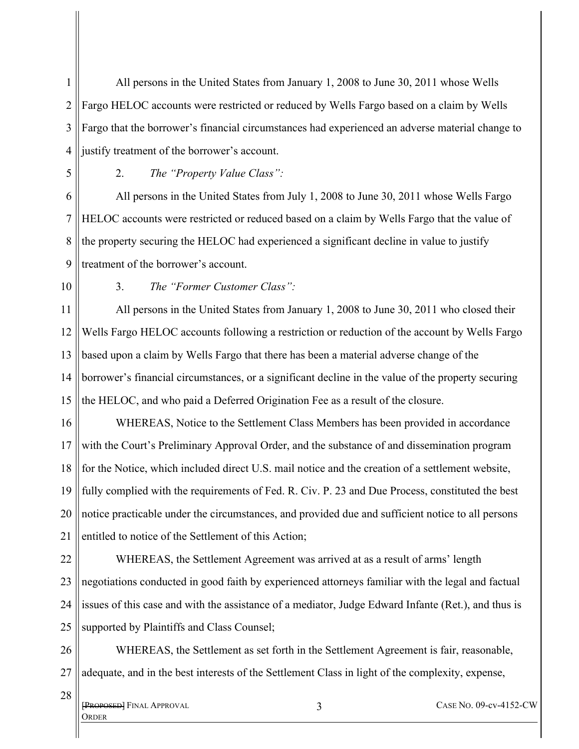1 2 3 4 All persons in the United States from January 1, 2008 to June 30, 2011 whose Wells Fargo HELOC accounts were restricted or reduced by Wells Fargo based on a claim by Wells Fargo that the borrower's financial circumstances had experienced an adverse material change to justify treatment of the borrower's account.

5

2. *The "Property Value Class":* 

6 7 8 9 All persons in the United States from July 1, 2008 to June 30, 2011 whose Wells Fargo HELOC accounts were restricted or reduced based on a claim by Wells Fargo that the value of the property securing the HELOC had experienced a significant decline in value to justify treatment of the borrower's account.

10

3. *The "Former Customer Class":* 

11 12 13 14 15 All persons in the United States from January 1, 2008 to June 30, 2011 who closed their Wells Fargo HELOC accounts following a restriction or reduction of the account by Wells Fargo based upon a claim by Wells Fargo that there has been a material adverse change of the borrower's financial circumstances, or a significant decline in the value of the property securing the HELOC, and who paid a Deferred Origination Fee as a result of the closure.

16 17 18 19 20 21 WHEREAS, Notice to the Settlement Class Members has been provided in accordance with the Court's Preliminary Approval Order, and the substance of and dissemination program for the Notice, which included direct U.S. mail notice and the creation of a settlement website, fully complied with the requirements of Fed. R. Civ. P. 23 and Due Process, constituted the best notice practicable under the circumstances, and provided due and sufficient notice to all persons entitled to notice of the Settlement of this Action;

22 23 24 25 WHEREAS, the Settlement Agreement was arrived at as a result of arms' length negotiations conducted in good faith by experienced attorneys familiar with the legal and factual issues of this case and with the assistance of a mediator, Judge Edward Infante (Ret.), and thus is supported by Plaintiffs and Class Counsel;

26 27 WHEREAS, the Settlement as set forth in the Settlement Agreement is fair, reasonable, adequate, and in the best interests of the Settlement Class in light of the complexity, expense,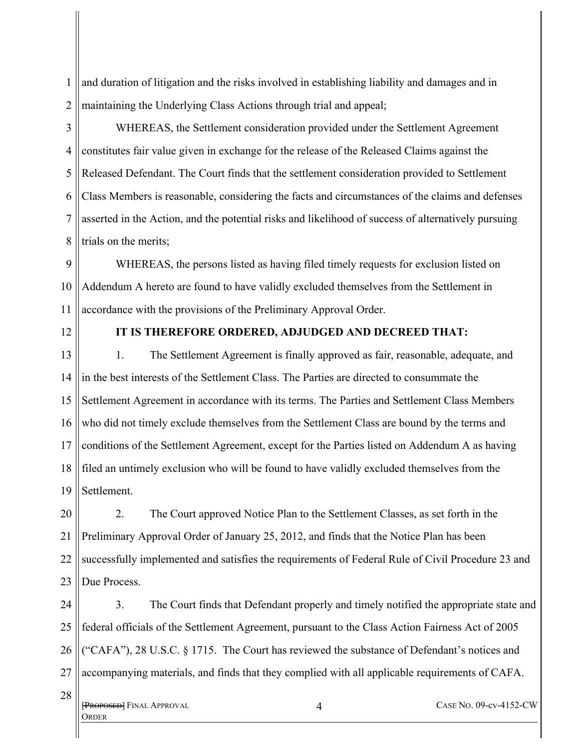1 2 and duration of litigation and the risks involved in establishing liability and damages and in maintaining the Underlying Class Actions through trial and appeal;

3

4 5 6 7 8 WHEREAS, the Settlement consideration provided under the Settlement Agreement constitutes fair value given in exchange for the release of the Released Claims against the Released Defendant. The Court finds that the settlement consideration provided to Settlement Class Members is reasonable, considering the facts and circumstances of the claims and defenses asserted in the Action, and the potential risks and likelihood of success of alternatively pursuing trials on the merits;

9 10 11 WHEREAS, the persons listed as having filed timely requests for exclusion listed on Addendum A hereto are found to have validly excluded themselves from the Settlement in accordance with the provisions of the Preliminary Approval Order.

12

## **IT IS THEREFORE ORDERED, ADJUDGED AND DECREED THAT:**

13 14 15 16 17 18 19 1. The Settlement Agreement is finally approved as fair, reasonable, adequate, and in the best interests of the Settlement Class. The Parties are directed to consummate the Settlement Agreement in accordance with its terms. The Parties and Settlement Class Members who did not timely exclude themselves from the Settlement Class are bound by the terms and conditions of the Settlement Agreement, except for the Parties listed on Addendum A as having filed an untimely exclusion who will be found to have validly excluded themselves from the Settlement.

20 21 22 23 2. The Court approved Notice Plan to the Settlement Classes, as set forth in the Preliminary Approval Order of January 25, 2012, and finds that the Notice Plan has been successfully implemented and satisfies the requirements of Federal Rule of Civil Procedure 23 and Due Process.

24 25 26 27 3. The Court finds that Defendant properly and timely notified the appropriate state and federal officials of the Settlement Agreement, pursuant to the Class Action Fairness Act of 2005 ("CAFA"), 28 U.S.C. § 1715. The Court has reviewed the substance of Defendant's notices and accompanying materials, and finds that they complied with all applicable requirements of CAFA.

**[Proposed]** Final Approval ORDER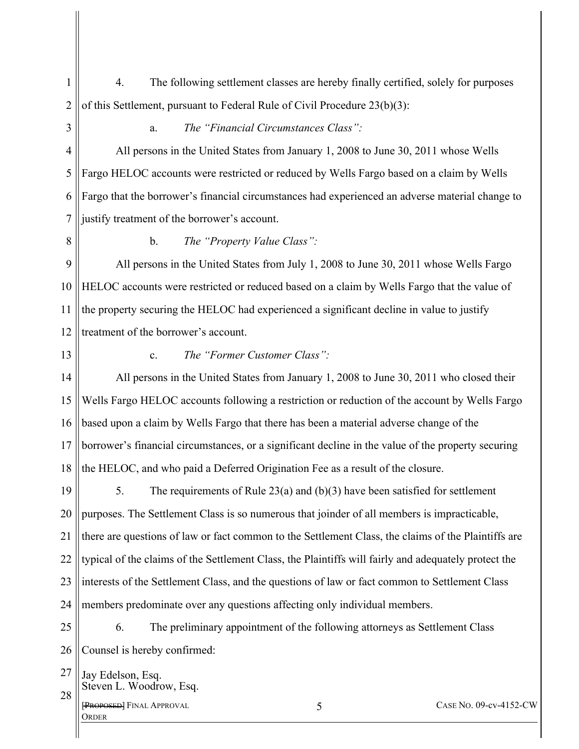- 1 2 4. The following settlement classes are hereby finally certified, solely for purposes of this Settlement, pursuant to Federal Rule of Civil Procedure 23(b)(3):
- 3

## a. *The "Financial Circumstances Class":*

4 5 6 7 All persons in the United States from January 1, 2008 to June 30, 2011 whose Wells Fargo HELOC accounts were restricted or reduced by Wells Fargo based on a claim by Wells Fargo that the borrower's financial circumstances had experienced an adverse material change to justify treatment of the borrower's account.

8

b. *The "Property Value Class":* 

9 10 11 12 All persons in the United States from July 1, 2008 to June 30, 2011 whose Wells Fargo HELOC accounts were restricted or reduced based on a claim by Wells Fargo that the value of the property securing the HELOC had experienced a significant decline in value to justify treatment of the borrower's account.

13

## c. *The "Former Customer Class":*

14 15 16 17 18 All persons in the United States from January 1, 2008 to June 30, 2011 who closed their Wells Fargo HELOC accounts following a restriction or reduction of the account by Wells Fargo based upon a claim by Wells Fargo that there has been a material adverse change of the borrower's financial circumstances, or a significant decline in the value of the property securing the HELOC, and who paid a Deferred Origination Fee as a result of the closure.

19 20 21 22 23 24 5. The requirements of Rule 23(a) and (b)(3) have been satisfied for settlement purposes. The Settlement Class is so numerous that joinder of all members is impracticable, there are questions of law or fact common to the Settlement Class, the claims of the Plaintiffs are typical of the claims of the Settlement Class, the Plaintiffs will fairly and adequately protect the interests of the Settlement Class, and the questions of law or fact common to Settlement Class members predominate over any questions affecting only individual members.

25 26 6. The preliminary appointment of the following attorneys as Settlement Class Counsel is hereby confirmed:

27 28 Jay Edelson, Esq. Steven L. Woodrow, Esq.

[PROPOSED] FINAL APPROVAL **ORDER**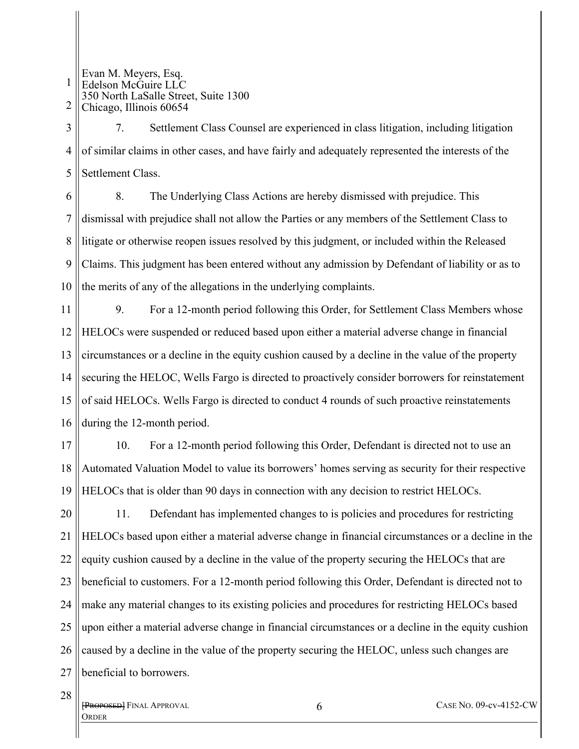1 2 Evan M. Meyers, Esq. Edelson McGuire LLC 350 North LaSalle Street, Suite 1300 Chicago, Illinois 60654

3 4 5 7. Settlement Class Counsel are experienced in class litigation, including litigation of similar claims in other cases, and have fairly and adequately represented the interests of the Settlement Class.

6 7 8 9 10 8. The Underlying Class Actions are hereby dismissed with prejudice. This dismissal with prejudice shall not allow the Parties or any members of the Settlement Class to litigate or otherwise reopen issues resolved by this judgment, or included within the Released Claims. This judgment has been entered without any admission by Defendant of liability or as to the merits of any of the allegations in the underlying complaints.

11 12 13 14 15 16 9. For a 12-month period following this Order, for Settlement Class Members whose HELOCs were suspended or reduced based upon either a material adverse change in financial circumstances or a decline in the equity cushion caused by a decline in the value of the property securing the HELOC, Wells Fargo is directed to proactively consider borrowers for reinstatement of said HELOCs. Wells Fargo is directed to conduct 4 rounds of such proactive reinstatements during the 12-month period.

17 18 19 10. For a 12-month period following this Order, Defendant is directed not to use an Automated Valuation Model to value its borrowers' homes serving as security for their respective HELOCs that is older than 90 days in connection with any decision to restrict HELOCs.

20 21 22 23 24 25 26 27 11. Defendant has implemented changes to is policies and procedures for restricting HELOCs based upon either a material adverse change in financial circumstances or a decline in the equity cushion caused by a decline in the value of the property securing the HELOCs that are beneficial to customers. For a 12-month period following this Order, Defendant is directed not to make any material changes to its existing policies and procedures for restricting HELOCs based upon either a material adverse change in financial circumstances or a decline in the equity cushion caused by a decline in the value of the property securing the HELOC, unless such changes are beneficial to borrowers.

**[Proposed]** FINAL APPROVAL **ORDER**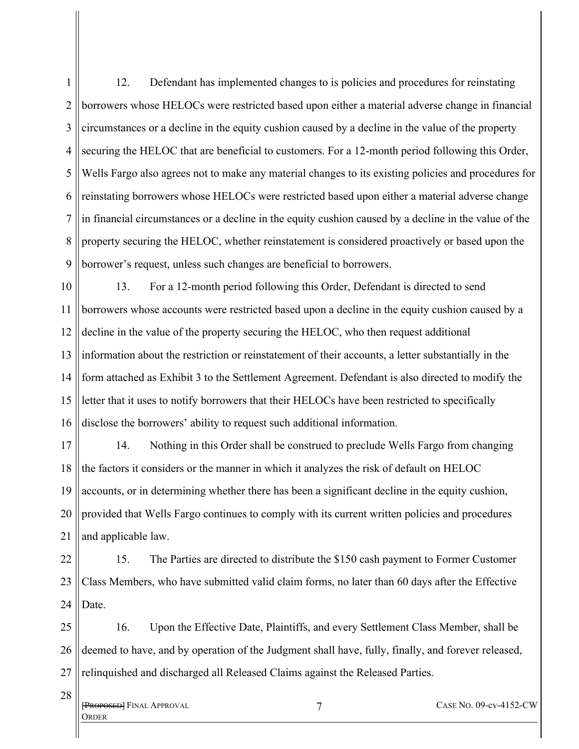1 2 3 4 5 6 7 8 9 12. Defendant has implemented changes to is policies and procedures for reinstating borrowers whose HELOCs were restricted based upon either a material adverse change in financial circumstances or a decline in the equity cushion caused by a decline in the value of the property securing the HELOC that are beneficial to customers. For a 12-month period following this Order, Wells Fargo also agrees not to make any material changes to its existing policies and procedures for reinstating borrowers whose HELOCs were restricted based upon either a material adverse change in financial circumstances or a decline in the equity cushion caused by a decline in the value of the property securing the HELOC, whether reinstatement is considered proactively or based upon the borrower's request, unless such changes are beneficial to borrowers.

10 11 12 13 14 15 16 13. For a 12-month period following this Order, Defendant is directed to send borrowers whose accounts were restricted based upon a decline in the equity cushion caused by a decline in the value of the property securing the HELOC, who then request additional information about the restriction or reinstatement of their accounts, a letter substantially in the form attached as Exhibit 3 to the Settlement Agreement. Defendant is also directed to modify the letter that it uses to notify borrowers that their HELOCs have been restricted to specifically disclose the borrowers' ability to request such additional information.

17 18 19 20 21 14. Nothing in this Order shall be construed to preclude Wells Fargo from changing the factors it considers or the manner in which it analyzes the risk of default on HELOC accounts, or in determining whether there has been a significant decline in the equity cushion, provided that Wells Fargo continues to comply with its current written policies and procedures and applicable law.

22 23 24 15. The Parties are directed to distribute the \$150 cash payment to Former Customer Class Members, who have submitted valid claim forms, no later than 60 days after the Effective Date.

25 26 27 16. Upon the Effective Date, Plaintiffs, and every Settlement Class Member, shall be deemed to have, and by operation of the Judgment shall have, fully, finally, and forever released, relinquished and discharged all Released Claims against the Released Parties.

**[Proposed]** Final Approval **ORDER** 

28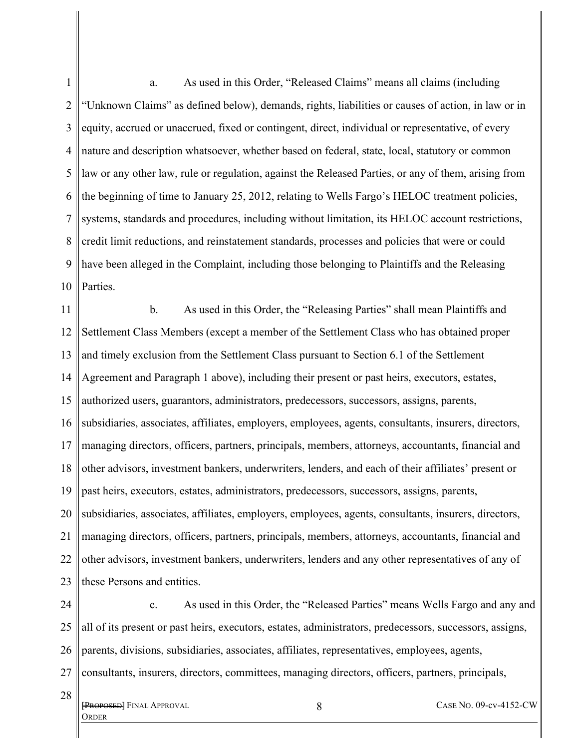1 2 3 4 5 6 7 8 9 10 a. As used in this Order, "Released Claims" means all claims (including "Unknown Claims" as defined below), demands, rights, liabilities or causes of action, in law or in equity, accrued or unaccrued, fixed or contingent, direct, individual or representative, of every nature and description whatsoever, whether based on federal, state, local, statutory or common law or any other law, rule or regulation, against the Released Parties, or any of them, arising from the beginning of time to January 25, 2012, relating to Wells Fargo's HELOC treatment policies, systems, standards and procedures, including without limitation, its HELOC account restrictions, credit limit reductions, and reinstatement standards, processes and policies that were or could have been alleged in the Complaint, including those belonging to Plaintiffs and the Releasing Parties.

11 12 13 14 15 16 17 18 19 20 21 22 23 b. As used in this Order, the "Releasing Parties" shall mean Plaintiffs and Settlement Class Members (except a member of the Settlement Class who has obtained proper and timely exclusion from the Settlement Class pursuant to Section 6.1 of the Settlement Agreement and Paragraph 1 above), including their present or past heirs, executors, estates, authorized users, guarantors, administrators, predecessors, successors, assigns, parents, subsidiaries, associates, affiliates, employers, employees, agents, consultants, insurers, directors, managing directors, officers, partners, principals, members, attorneys, accountants, financial and other advisors, investment bankers, underwriters, lenders, and each of their affiliates' present or past heirs, executors, estates, administrators, predecessors, successors, assigns, parents, subsidiaries, associates, affiliates, employers, employees, agents, consultants, insurers, directors, managing directors, officers, partners, principals, members, attorneys, accountants, financial and other advisors, investment bankers, underwriters, lenders and any other representatives of any of these Persons and entities.

24 25 26 27 c. As used in this Order, the "Released Parties" means Wells Fargo and any and all of its present or past heirs, executors, estates, administrators, predecessors, successors, assigns, parents, divisions, subsidiaries, associates, affiliates, representatives, employees, agents, consultants, insurers, directors, committees, managing directors, officers, partners, principals,

**[Proposed]** FINAL APPROVAL ORDER

28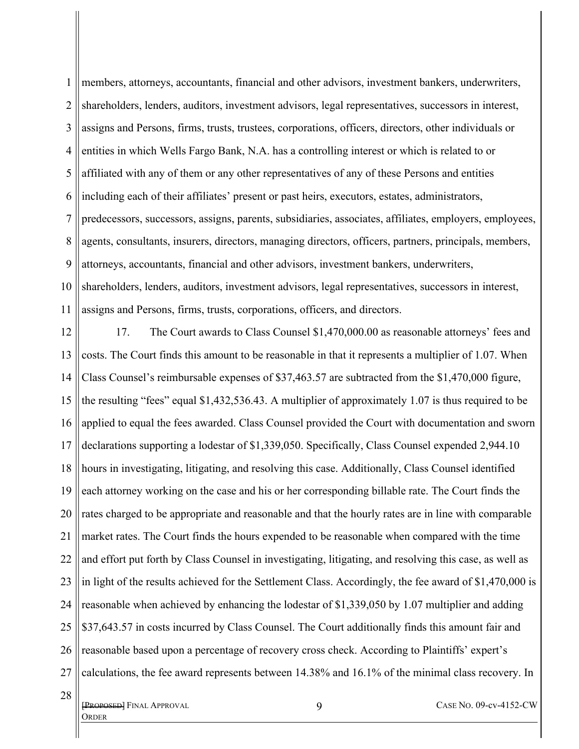1 2 3 4 5 6 7 8 9 10 11 members, attorneys, accountants, financial and other advisors, investment bankers, underwriters, shareholders, lenders, auditors, investment advisors, legal representatives, successors in interest, assigns and Persons, firms, trusts, trustees, corporations, officers, directors, other individuals or entities in which Wells Fargo Bank, N.A. has a controlling interest or which is related to or affiliated with any of them or any other representatives of any of these Persons and entities including each of their affiliates' present or past heirs, executors, estates, administrators, predecessors, successors, assigns, parents, subsidiaries, associates, affiliates, employers, employees, agents, consultants, insurers, directors, managing directors, officers, partners, principals, members, attorneys, accountants, financial and other advisors, investment bankers, underwriters, shareholders, lenders, auditors, investment advisors, legal representatives, successors in interest, assigns and Persons, firms, trusts, corporations, officers, and directors.

12 13 14 15 16 17 18 19 20 21 22 23 24 25 26 27 17. The Court awards to Class Counsel \$1,470,000.00 as reasonable attorneys' fees and costs. The Court finds this amount to be reasonable in that it represents a multiplier of 1.07. When Class Counsel's reimbursable expenses of \$37,463.57 are subtracted from the \$1,470,000 figure, the resulting "fees" equal \$1,432,536.43. A multiplier of approximately 1.07 is thus required to be applied to equal the fees awarded. Class Counsel provided the Court with documentation and sworn declarations supporting a lodestar of \$1,339,050. Specifically, Class Counsel expended 2,944.10 hours in investigating, litigating, and resolving this case. Additionally, Class Counsel identified each attorney working on the case and his or her corresponding billable rate. The Court finds the rates charged to be appropriate and reasonable and that the hourly rates are in line with comparable market rates. The Court finds the hours expended to be reasonable when compared with the time and effort put forth by Class Counsel in investigating, litigating, and resolving this case, as well as in light of the results achieved for the Settlement Class. Accordingly, the fee award of \$1,470,000 is reasonable when achieved by enhancing the lodestar of \$1,339,050 by 1.07 multiplier and adding \$37,643.57 in costs incurred by Class Counsel. The Court additionally finds this amount fair and reasonable based upon a percentage of recovery cross check. According to Plaintiffs' expert's calculations, the fee award represents between 14.38% and 16.1% of the minimal class recovery. In

[PROPOSED] FINAL APPROVAL **ORDER** 

28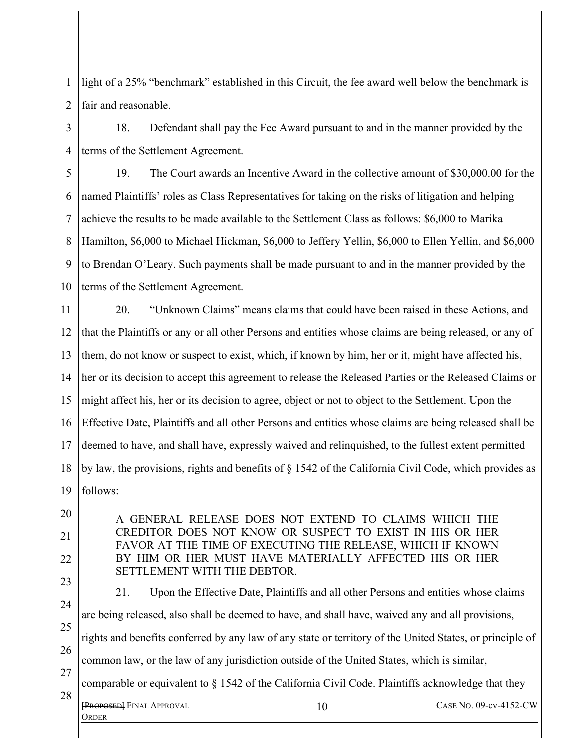1 2 light of a 25% "benchmark" established in this Circuit, the fee award well below the benchmark is fair and reasonable.

3 4 18. Defendant shall pay the Fee Award pursuant to and in the manner provided by the terms of the Settlement Agreement.

5 6 7 8 9 10 19. The Court awards an Incentive Award in the collective amount of \$30,000.00 for the named Plaintiffs' roles as Class Representatives for taking on the risks of litigation and helping achieve the results to be made available to the Settlement Class as follows: \$6,000 to Marika Hamilton, \$6,000 to Michael Hickman, \$6,000 to Jeffery Yellin, \$6,000 to Ellen Yellin, and \$6,000 to Brendan O'Leary. Such payments shall be made pursuant to and in the manner provided by the terms of the Settlement Agreement.

11 12 13 14 15 16 17 18 19 20. "Unknown Claims" means claims that could have been raised in these Actions, and that the Plaintiffs or any or all other Persons and entities whose claims are being released, or any of them, do not know or suspect to exist, which, if known by him, her or it, might have affected his, her or its decision to accept this agreement to release the Released Parties or the Released Claims or might affect his, her or its decision to agree, object or not to object to the Settlement. Upon the Effective Date, Plaintiffs and all other Persons and entities whose claims are being released shall be deemed to have, and shall have, expressly waived and relinquished, to the fullest extent permitted by law, the provisions, rights and benefits of § 1542 of the California Civil Code, which provides as follows:

A GENERAL RELEASE DOES NOT EXTEND TO CLAIMS WHICH THE CREDITOR DOES NOT KNOW OR SUSPECT TO EXIST IN HIS OR HER FAVOR AT THE TIME OF EXECUTING THE RELEASE, WHICH IF KNOWN BY HIM OR HER MUST HAVE MATERIALLY AFFECTED HIS OR HER SETTLEMENT WITH THE DEBTOR.

20

21

22

23 24 25 26 27 28 [PROPOSED] FINAL APPROVAL **ORDER** 10 CASE NO. 09-cv-4152-CW 21. Upon the Effective Date, Plaintiffs and all other Persons and entities whose claims are being released, also shall be deemed to have, and shall have, waived any and all provisions, rights and benefits conferred by any law of any state or territory of the United States, or principle of common law, or the law of any jurisdiction outside of the United States, which is similar, comparable or equivalent to § 1542 of the California Civil Code. Plaintiffs acknowledge that they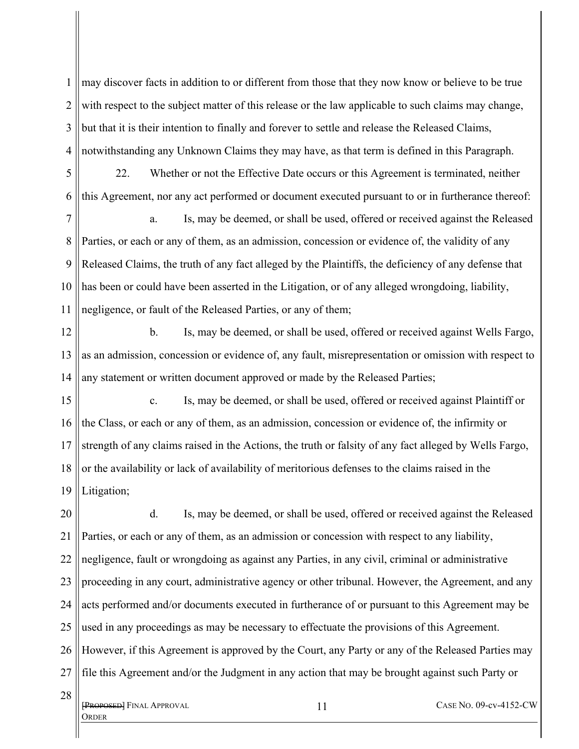1 2 3 4 may discover facts in addition to or different from those that they now know or believe to be true with respect to the subject matter of this release or the law applicable to such claims may change, but that it is their intention to finally and forever to settle and release the Released Claims, notwithstanding any Unknown Claims they may have, as that term is defined in this Paragraph.

5 6 22. Whether or not the Effective Date occurs or this Agreement is terminated, neither this Agreement, nor any act performed or document executed pursuant to or in furtherance thereof:

7 8 9 10 11 a. Is, may be deemed, or shall be used, offered or received against the Released Parties, or each or any of them, as an admission, concession or evidence of, the validity of any Released Claims, the truth of any fact alleged by the Plaintiffs, the deficiency of any defense that has been or could have been asserted in the Litigation, or of any alleged wrongdoing, liability, negligence, or fault of the Released Parties, or any of them;

12 13 14 b. Is, may be deemed, or shall be used, offered or received against Wells Fargo, as an admission, concession or evidence of, any fault, misrepresentation or omission with respect to any statement or written document approved or made by the Released Parties;

15 16 17 18 19 c. Is, may be deemed, or shall be used, offered or received against Plaintiff or the Class, or each or any of them, as an admission, concession or evidence of, the infirmity or strength of any claims raised in the Actions, the truth or falsity of any fact alleged by Wells Fargo, or the availability or lack of availability of meritorious defenses to the claims raised in the Litigation;

20 21 22 23 24 25 26 27 d. Is, may be deemed, or shall be used, offered or received against the Released Parties, or each or any of them, as an admission or concession with respect to any liability, negligence, fault or wrongdoing as against any Parties, in any civil, criminal or administrative proceeding in any court, administrative agency or other tribunal. However, the Agreement, and any acts performed and/or documents executed in furtherance of or pursuant to this Agreement may be used in any proceedings as may be necessary to effectuate the provisions of this Agreement. However, if this Agreement is approved by the Court, any Party or any of the Released Parties may file this Agreement and/or the Judgment in any action that may be brought against such Party or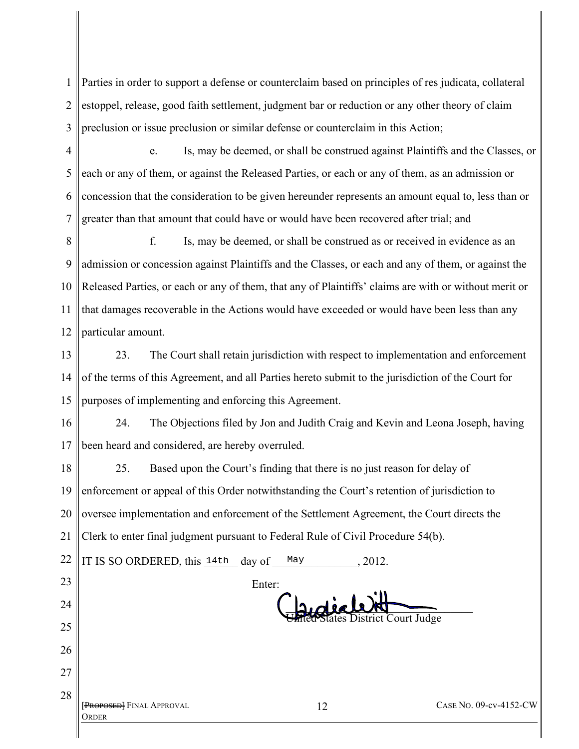1 2 3 Parties in order to support a defense or counterclaim based on principles of res judicata, collateral estoppel, release, good faith settlement, judgment bar or reduction or any other theory of claim preclusion or issue preclusion or similar defense or counterclaim in this Action;

4 5 6 7 e. Is, may be deemed, or shall be construed against Plaintiffs and the Classes, or each or any of them, or against the Released Parties, or each or any of them, as an admission or concession that the consideration to be given hereunder represents an amount equal to, less than or greater than that amount that could have or would have been recovered after trial; and

8 9 10 11 12 f. Is, may be deemed, or shall be construed as or received in evidence as an admission or concession against Plaintiffs and the Classes, or each and any of them, or against the Released Parties, or each or any of them, that any of Plaintiffs' claims are with or without merit or that damages recoverable in the Actions would have exceeded or would have been less than any particular amount.

13 14 15 23. The Court shall retain jurisdiction with respect to implementation and enforcement of the terms of this Agreement, and all Parties hereto submit to the jurisdiction of the Court for purposes of implementing and enforcing this Agreement.

16 17 24. The Objections filed by Jon and Judith Craig and Kevin and Leona Joseph, having been heard and considered, are hereby overruled.

18 19 20 21 25. Based upon the Court's finding that there is no just reason for delay of enforcement or appeal of this Order notwithstanding the Court's retention of jurisdiction to oversee implementation and enforcement of the Settlement Agreement, the Court directs the Clerk to enter final judgment pursuant to Federal Rule of Civil Procedure 54(b).

| 22 | IT IS SO ORDERED, this 14th day of | May    | , 2012.                       |
|----|------------------------------------|--------|-------------------------------|
| 23 |                                    | Enter: |                               |
| 24 |                                    |        |                               |
| 25 |                                    |        | d'States District Court Judge |
| 26 |                                    |        |                               |
| 27 |                                    |        |                               |
| 28 | [PROPOSED] FINAL APPROVAL          | 12     | CASE No. 09-cv-4152-CW        |

**ORDER**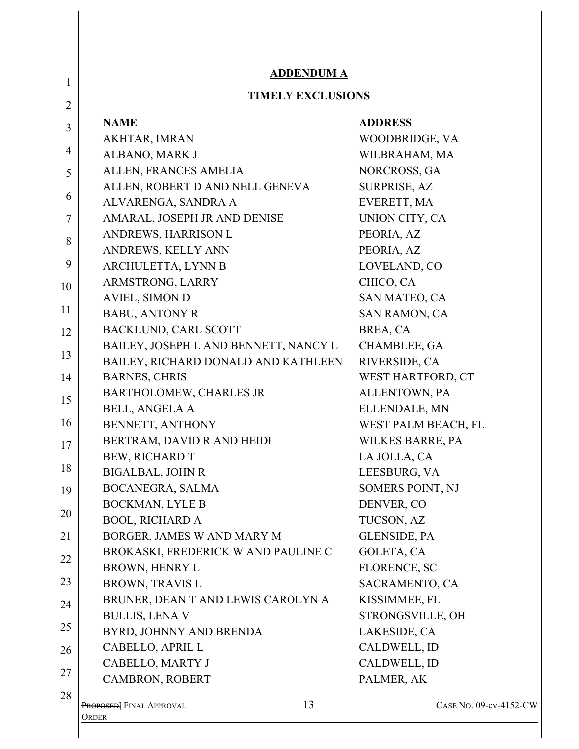| 1              | <b>ADDENDUM A</b>                             |                         |
|----------------|-----------------------------------------------|-------------------------|
| $\overline{2}$ | <b>TIMELY EXCLUSIONS</b>                      |                         |
|                | <b>NAME</b>                                   | <b>ADDRESS</b>          |
| 3              | AKHTAR, IMRAN                                 | WOODBRIDGE, VA          |
| 4              | ALBANO, MARK J                                | WILBRAHAM, MA           |
| 5              | ALLEN, FRANCES AMELIA                         | NORCROSS, GA            |
|                | ALLEN, ROBERT D AND NELL GENEVA               | <b>SURPRISE, AZ</b>     |
| 6              | ALVARENGA, SANDRA A                           | EVERETT, MA             |
| 7              | AMARAL, JOSEPH JR AND DENISE                  | UNION CITY, CA          |
|                | ANDREWS, HARRISON L                           | PEORIA, AZ              |
| 8              | ANDREWS, KELLY ANN                            | PEORIA, AZ              |
| 9              | ARCHULETTA, LYNN B                            | LOVELAND, CO            |
| 10             | ARMSTRONG, LARRY                              | CHICO, CA               |
|                | <b>AVIEL, SIMON D</b>                         | SAN MATEO, CA           |
| 11             | <b>BABU, ANTONY R</b>                         | <b>SAN RAMON, CA</b>    |
| 12             | <b>BACKLUND, CARL SCOTT</b>                   | BREA, CA                |
|                | BAILEY, JOSEPH L AND BENNETT, NANCY L         | CHAMBLEE, GA            |
| 13             | BAILEY, RICHARD DONALD AND KATHLEEN           | RIVERSIDE, CA           |
| 14             | <b>BARNES, CHRIS</b>                          | WEST HARTFORD, CT       |
| 15             | BARTHOLOMEW, CHARLES JR                       | ALLENTOWN, PA           |
|                | <b>BELL, ANGELA A</b>                         | ELLENDALE, MN           |
| 16             | BENNETT, ANTHONY                              | WEST PALM BEACH, FL     |
| 17             | BERTRAM, DAVID R AND HEIDI                    | <b>WILKES BARRE, PA</b> |
|                | BEW, RICHARD T                                | LA JOLLA, CA            |
| 18             | <b>BIGALBAL, JOHN R</b>                       | LEESBURG, VA            |
| 19             | <b>BOCANEGRA, SALMA</b>                       | SOMERS POINT, NJ        |
|                | <b>BOCKMAN, LYLE B</b>                        | DENVER, CO              |
| 20             | <b>BOOL, RICHARD A</b>                        | TUCSON, AZ              |
| 21             | BORGER, JAMES W AND MARY M                    | <b>GLENSIDE, PA</b>     |
| 22             | BROKASKI, FREDERICK W AND PAULINE C           | <b>GOLETA, CA</b>       |
|                | <b>BROWN, HENRY L</b>                         | FLORENCE, SC            |
| 23             | <b>BROWN, TRAVIS L</b>                        | SACRAMENTO, CA          |
| 24             | BRUNER, DEAN T AND LEWIS CAROLYN A            | KISSIMMEE, FL           |
|                | <b>BULLIS, LENA V</b>                         | STRONGSVILLE, OH        |
| 25             | BYRD, JOHNNY AND BRENDA                       | LAKESIDE, CA            |
| 26             | CABELLO, APRIL L                              | CALDWELL, ID            |
| 27             | CABELLO, MARTY J                              | CALDWELL, ID            |
|                | CAMBRON, ROBERT                               | PALMER, AK              |
| 28             | 13<br><b>PROPOSED</b> FINAL APPROVAL<br>Order | CASE NO. 09-cv-4152-CW  |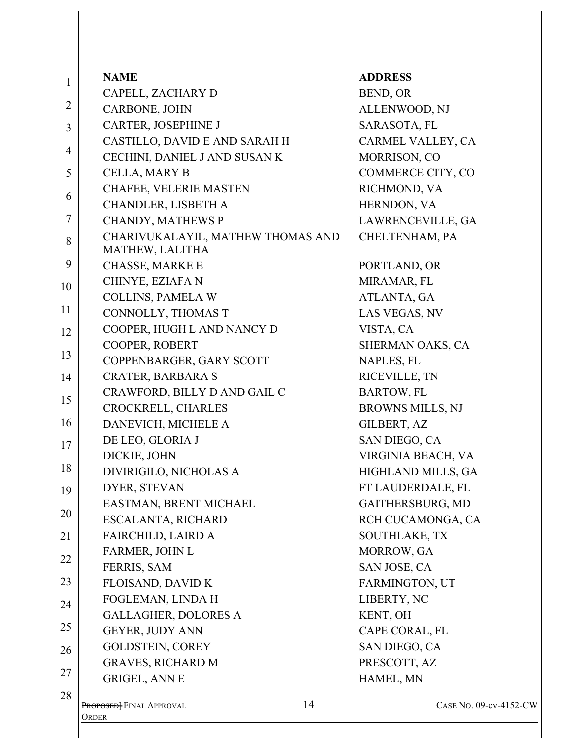| 1<br>2         | CAPELL, ZACHARY D                                    |                         |
|----------------|------------------------------------------------------|-------------------------|
|                |                                                      | BEND, OR                |
|                | CARBONE, JOHN                                        | ALLENWOOD, NJ           |
| 3              | <b>CARTER, JOSEPHINE J</b>                           | SARASOTA, FL            |
|                | CASTILLO, DAVID E AND SARAH H                        | CARMEL VALLEY, CA       |
| 4              | CECHINI, DANIEL J AND SUSAN K                        | MORRISON, CO            |
| 5              | CELLA, MARY B                                        | COMMERCE CITY, CO       |
| 6              | CHAFEE, VELERIE MASTEN                               | RICHMOND, VA            |
|                | CHANDLER, LISBETH A                                  | HERNDON, VA             |
| $\overline{7}$ | <b>CHANDY, MATHEWS P</b>                             | LAWRENCEVILLE, GA       |
| 8              | CHARIVUKALAYIL, MATHEW THOMAS AND<br>MATHEW, LALITHA | CHELTENHAM, PA          |
| 9              | <b>CHASSE, MARKE E</b>                               | PORTLAND, OR            |
| 10             | CHINYE, EZIAFA N                                     | MIRAMAR, FL             |
|                | <b>COLLINS, PAMELA W</b>                             | ATLANTA, GA             |
| 11             | CONNOLLY, THOMAS T                                   | LAS VEGAS, NV           |
| 12             | COOPER, HUGH L AND NANCY D                           | VISTA, CA               |
|                | COOPER, ROBERT                                       | SHERMAN OAKS, CA        |
| 13             | COPPENBARGER, GARY SCOTT                             | NAPLES, FL              |
| 14             | <b>CRATER, BARBARA S</b>                             | RICEVILLE, TN           |
| 15             | CRAWFORD, BILLY D AND GAIL C                         | <b>BARTOW, FL</b>       |
|                | CROCKRELL, CHARLES                                   | <b>BROWNS MILLS, NJ</b> |
| 16             | DANEVICH, MICHELE A                                  | GILBERT, AZ             |
| 17             | DE LEO, GLORIA J                                     | SAN DIEGO, CA           |
|                | DICKIE, JOHN                                         | VIRGINIA BEACH, VA      |
| 18             | DIVIRIGILO, NICHOLAS A                               | HIGHLAND MILLS, GA      |
| 19             | DYER, STEVAN                                         | FT LAUDERDALE, FL       |
|                | EASTMAN, BRENT MICHAEL                               | GAITHERSBURG, MD        |
| 20             | <b>ESCALANTA, RICHARD</b>                            | RCH CUCAMONGA, CA       |
| 21             | FAIRCHILD, LAIRD A                                   | <b>SOUTHLAKE, TX</b>    |
| 22             | FARMER, JOHN L                                       | MORROW, GA              |
|                | FERRIS, SAM                                          | SAN JOSE, CA            |
| 23             | FLOISAND, DAVID K                                    | <b>FARMINGTON, UT</b>   |
| 24             | FOGLEMAN, LINDA H                                    | LIBERTY, NC             |
|                | <b>GALLAGHER, DOLORES A</b>                          | KENT, OH                |
| 25             | GEYER, JUDY ANN                                      | CAPE CORAL, FL          |
| 26             | <b>GOLDSTEIN, COREY</b>                              | SAN DIEGO, CA           |
| 27             | <b>GRAVES, RICHARD M</b>                             | PRESCOTT, AZ            |
|                | <b>GRIGEL, ANN E</b>                                 | HAMEL, MN               |
| 28             | 14<br><b>PROPOSED</b> FINAL APPROVAL<br>ORDER        | CASE No. 09-cv-4152-CW  |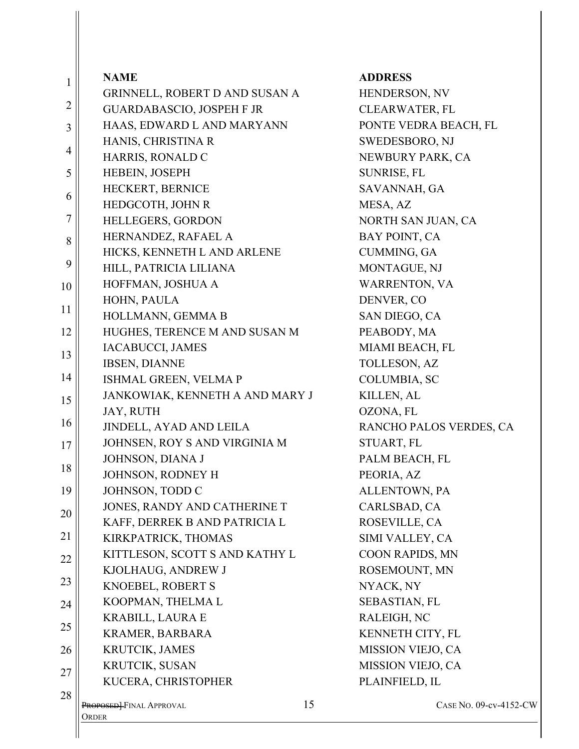| 1              | <b>NAME</b>                                                    |    | <b>ADDRESS</b>                                 |
|----------------|----------------------------------------------------------------|----|------------------------------------------------|
| $\overline{2}$ | GRINNELL, ROBERT D AND SUSAN A                                 |    | HENDERSON, NV                                  |
|                | <b>GUARDABASCIO, JOSPEH F JR</b><br>HAAS, EDWARD L AND MARYANN |    | <b>CLEARWATER, FL</b><br>PONTE VEDRA BEACH, FL |
| 3              |                                                                |    |                                                |
| $\overline{4}$ | HANIS, CHRISTINA R                                             |    | SWEDESBORO, NJ                                 |
| 5              | HARRIS, RONALD C<br>HEBEIN, JOSEPH                             |    | NEWBURY PARK, CA                               |
|                | HECKERT, BERNICE                                               |    | SUNRISE, FL<br>SAVANNAH, GA                    |
| 6              | HEDGCOTH, JOHN R                                               |    | MESA, AZ                                       |
| $\overline{7}$ | HELLEGERS, GORDON                                              |    | NORTH SAN JUAN, CA                             |
|                | HERNANDEZ, RAFAEL A                                            |    | BAY POINT, CA                                  |
| 8              | HICKS, KENNETH L AND ARLENE                                    |    | <b>CUMMING, GA</b>                             |
| 9              | HILL, PATRICIA LILIANA                                         |    | MONTAGUE, NJ                                   |
|                | HOFFMAN, JOSHUA A                                              |    | <b>WARRENTON, VA</b>                           |
| 10             | HOHN, PAULA                                                    |    | DENVER, CO                                     |
| 11             | HOLLMANN, GEMMA B                                              |    | SAN DIEGO, CA                                  |
| 12             | HUGHES, TERENCE M AND SUSAN M                                  |    | PEABODY, MA                                    |
|                | IACABUCCI, JAMES                                               |    | MIAMI BEACH, FL                                |
| 13             | <b>IBSEN, DIANNE</b>                                           |    | TOLLESON, AZ                                   |
| 14             | ISHMAL GREEN, VELMA P                                          |    | <b>COLUMBIA, SC</b>                            |
|                | JANKOWIAK, KENNETH A AND MARY J                                |    | KILLEN, AL                                     |
| 15             | JAY, RUTH                                                      |    | OZONA, FL                                      |
| 16             | JINDELL, AYAD AND LEILA                                        |    | RANCHO PALOS VERDES, CA                        |
| 17             | JOHNSEN, ROY S AND VIRGINIA M                                  |    | STUART, FL                                     |
|                | JOHNSON, DIANA J                                               |    | PALM BEACH, FL                                 |
| 18             | JOHNSON, RODNEY H                                              |    | PEORIA, AZ                                     |
| 19             | JOHNSON, TODD C                                                |    | ALLENTOWN, PA                                  |
| 20             | JONES, RANDY AND CATHERINE T                                   |    | CARLSBAD, CA                                   |
|                | KAFF, DERREK B AND PATRICIA L                                  |    | ROSEVILLE, CA                                  |
| 21             | KIRKPATRICK, THOMAS                                            |    | SIMI VALLEY, CA                                |
| 22             | KITTLESON, SCOTT S AND KATHY L                                 |    | COON RAPIDS, MN                                |
|                | KJOLHAUG, ANDREW J                                             |    | ROSEMOUNT, MN                                  |
| 23             | KNOEBEL, ROBERT S                                              |    | NYACK, NY                                      |
| 24             | KOOPMAN, THELMA L                                              |    | SEBASTIAN, FL                                  |
| 25             | <b>KRABILL, LAURA E</b>                                        |    | RALEIGH, NC                                    |
|                | KRAMER, BARBARA                                                |    | KENNETH CITY, FL                               |
| 26             | KRUTCIK, JAMES                                                 |    | MISSION VIEJO, CA                              |
| 27             | KRUTCIK, SUSAN                                                 |    | MISSION VIEJO, CA                              |
|                | KUCERA, CHRISTOPHER                                            |    | PLAINFIELD, IL                                 |
| 28             | PROPOSED-FINAL APPROVAL                                        | 15 | CASE NO. 09-cv-4152-CW                         |
|                | Order                                                          |    |                                                |
|                |                                                                |    |                                                |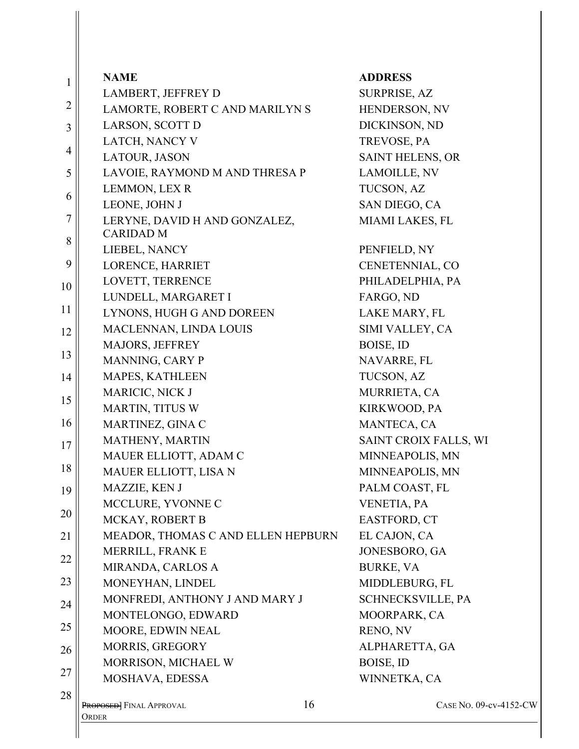| $\mathbf{1}$   | <b>NAME</b>                        | <b>ADDRESS</b>           |
|----------------|------------------------------------|--------------------------|
|                | LAMBERT, JEFFREY D                 | <b>SURPRISE, AZ</b>      |
| $\overline{2}$ | LAMORTE, ROBERT C AND MARILYN S    | HENDERSON, NV            |
| 3              | LARSON, SCOTT D                    | DICKINSON, ND            |
|                | LATCH, NANCY V                     | TREVOSE, PA              |
| $\overline{4}$ | LATOUR, JASON                      | <b>SAINT HELENS, OR</b>  |
| 5              | LAVOIE, RAYMOND M AND THRESA P     | LAMOILLE, NV             |
| 6              | LEMMON, LEX R                      | TUCSON, AZ               |
|                | LEONE, JOHN J                      | SAN DIEGO, CA            |
| $\tau$         | LERYNE, DAVID H AND GONZALEZ,      | MIAMI LAKES, FL          |
| 8              | <b>CARIDAD M</b>                   |                          |
|                | LIEBEL, NANCY                      | PENFIELD, NY             |
| 9              | LORENCE, HARRIET                   | CENETENNIAL, CO          |
| 10             | LOVETT, TERRENCE                   | PHILADELPHIA, PA         |
| 11             | LUNDELL, MARGARET I                | FARGO, ND                |
|                | LYNONS, HUGH G AND DOREEN          | LAKE MARY, FL            |
| 12             | MACLENNAN, LINDA LOUIS             | SIMI VALLEY, CA          |
| 13             | MAJORS, JEFFREY                    | BOISE, ID                |
|                | MANNING, CARY P                    | NAVARRE, FL              |
| 14             | <b>MAPES, KATHLEEN</b>             | TUCSON, AZ               |
| 15             | MARICIC, NICK J                    | MURRIETA, CA             |
|                | <b>MARTIN, TITUS W</b>             | KIRKWOOD, PA             |
| 16             | MARTINEZ, GINA C                   | MANTECA, CA              |
| 17             | MATHENY, MARTIN                    | SAINT CROIX FALLS, WI    |
| 18             | MAUER ELLIOTT, ADAM C              | MINNEAPOLIS, MN          |
|                | MAUER ELLIOTT, LISA N              | MINNEAPOLIS, MN          |
| 19             | MAZZIE, KEN J                      | PALM COAST, FL           |
| 20             | MCCLURE, YVONNE C                  | VENETIA, PA              |
|                | MCKAY, ROBERT B                    | EASTFORD, CT             |
| 21             | MEADOR, THOMAS C AND ELLEN HEPBURN | EL CAJON, CA             |
| 22             | MERRILL, FRANK E                   | JONESBORO, GA            |
|                | MIRANDA, CARLOS A                  | <b>BURKE, VA</b>         |
| 23             | MONEYHAN, LINDEL                   | MIDDLEBURG, FL           |
| 24             | MONFREDI, ANTHONY J AND MARY J     | <b>SCHNECKSVILLE, PA</b> |
| 25             | MONTELONGO, EDWARD                 | MOORPARK, CA             |
|                | MOORE, EDWIN NEAL                  | RENO, NV                 |
| 26             | MORRIS, GREGORY                    | ALPHARETTA, GA           |
| 27             | MORRISON, MICHAEL W                | BOISE, ID                |
|                | MOSHAVA, EDESSA                    | WINNETKA, CA             |
| 28             | 16<br>PROPOSED] FINAL APPROVAL     | CASE NO. 09-cv-4152-CW   |
|                | ORDER                              |                          |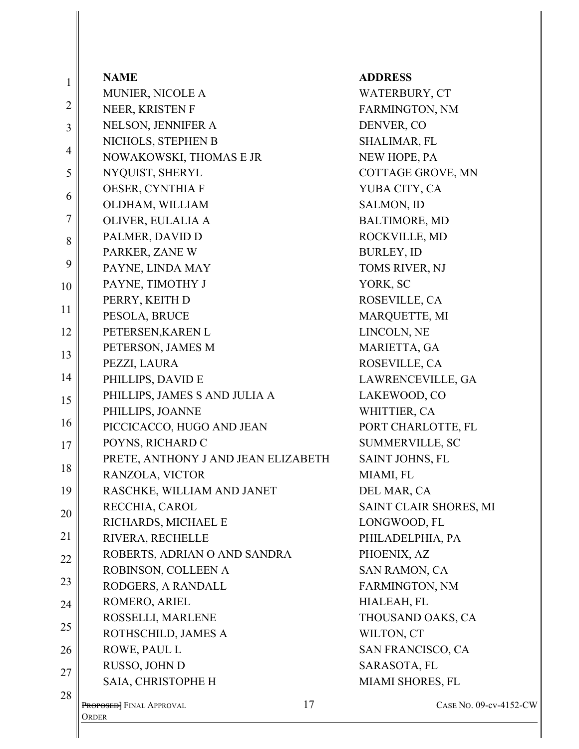| 1              | <b>NAME</b>                         |    | <b>ADDRESS</b>         |
|----------------|-------------------------------------|----|------------------------|
|                | MUNIER, NICOLE A                    |    | WATERBURY, CT          |
| $\overline{2}$ | NEER, KRISTEN F                     |    | FARMINGTON, NM         |
| $\overline{3}$ | NELSON, JENNIFER A                  |    | DENVER, CO             |
|                | NICHOLS, STEPHEN B                  |    | SHALIMAR, FL           |
| $\overline{4}$ | NOWAKOWSKI, THOMAS E JR             |    | NEW HOPE, PA           |
| 5              | NYQUIST, SHERYL                     |    | COTTAGE GROVE, MN      |
| 6              | OESER, CYNTHIA F                    |    | YUBA CITY, CA          |
|                | OLDHAM, WILLIAM                     |    | SALMON, ID             |
| $\overline{7}$ | OLIVER, EULALIA A                   |    | <b>BALTIMORE, MD</b>   |
| 8              | PALMER, DAVID D                     |    | ROCKVILLE, MD          |
|                | PARKER, ZANE W                      |    | <b>BURLEY, ID</b>      |
| 9              | PAYNE, LINDA MAY                    |    | TOMS RIVER, NJ         |
| 10             | PAYNE, TIMOTHY J                    |    | YORK, SC               |
|                | PERRY, KEITH D                      |    | ROSEVILLE, CA          |
| 11             | PESOLA, BRUCE                       |    | MARQUETTE, MI          |
| 12             | PETERSEN, KAREN L                   |    | LINCOLN, NE            |
| 13             | PETERSON, JAMES M                   |    | MARIETTA, GA           |
|                | PEZZI, LAURA                        |    | ROSEVILLE, CA          |
| 14             | PHILLIPS, DAVID E                   |    | LAWRENCEVILLE, GA      |
| 15             | PHILLIPS, JAMES S AND JULIA A       |    | LAKEWOOD, CO           |
|                | PHILLIPS, JOANNE                    |    | WHITTIER, CA           |
| 16             | PICCICACCO, HUGO AND JEAN           |    | PORT CHARLOTTE, FL     |
| 17             | POYNS, RICHARD C                    |    | SUMMERVILLE, SC        |
| 18             | PRETE, ANTHONY J AND JEAN ELIZABETH |    | SAINT JOHNS, FL        |
|                | RANZOLA, VICTOR                     |    | MIAMI, FL              |
| 19             | RASCHKE, WILLIAM AND JANET          |    | DEL MAR, CA            |
| 20             | RECCHIA, CAROL                      |    | SAINT CLAIR SHORES, MI |
|                | RICHARDS, MICHAEL E                 |    | LONGWOOD, FL           |
| 21             | RIVERA, RECHELLE                    |    | PHILADELPHIA, PA       |
| 22             | ROBERTS, ADRIAN O AND SANDRA        |    | PHOENIX, AZ            |
|                | ROBINSON, COLLEEN A                 |    | SAN RAMON, CA          |
| 23             | RODGERS, A RANDALL                  |    | FARMINGTON, NM         |
| 24             | ROMERO, ARIEL                       |    | HIALEAH, FL            |
| 25             | ROSSELLI, MARLENE                   |    | THOUSAND OAKS, CA      |
|                | ROTHSCHILD, JAMES A                 |    | WILTON, CT             |
| 26             | ROWE, PAUL L                        |    | SAN FRANCISCO, CA      |
| 27             | RUSSO, JOHN D                       |    | SARASOTA, FL           |
|                | SAIA, CHRISTOPHE H                  |    | MIAMI SHORES, FL       |
| 28             | <b>PROPOSED</b> FINAL APPROVAL      | 17 | CASE NO. 09-cy         |
|                | ORDER                               |    |                        |
|                |                                     |    |                        |

No. 09-cv-4152-CW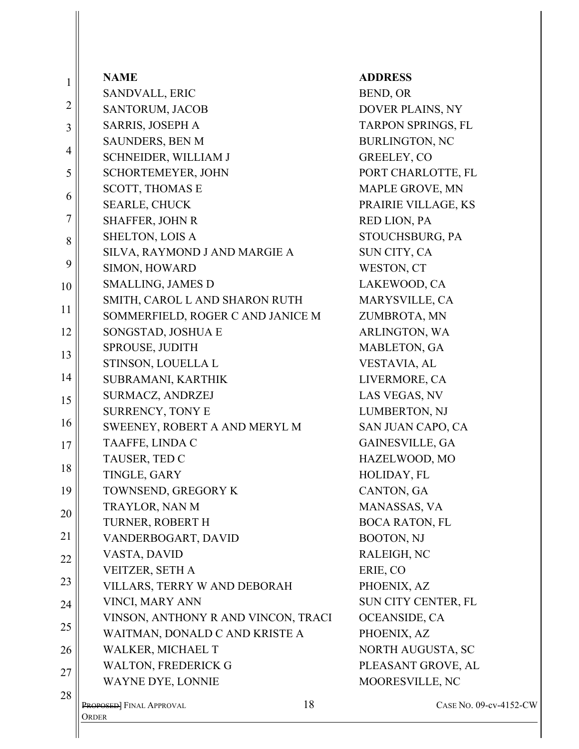| 1              | <b>NAME</b>                         | <b>ADDRESS</b>        |
|----------------|-------------------------------------|-----------------------|
|                | SANDVALL, ERIC                      | BEND, OR              |
| $\overline{2}$ | SANTORUM, JACOB                     | DOVER PLAINS, NY      |
| $\overline{3}$ | SARRIS, JOSEPH A                    | TARPON SPRINGS, FL    |
| 4              | SAUNDERS, BEN M                     | <b>BURLINGTON, NC</b> |
|                | SCHNEIDER, WILLIAM J                | GREELEY, CO           |
| 5              | SCHORTEMEYER, JOHN                  | PORT CHARLOTTE, FL    |
| 6              | <b>SCOTT, THOMAS E</b>              | MAPLE GROVE, MN       |
|                | <b>SEARLE, CHUCK</b>                | PRAIRIE VILLAGE, KS   |
| 7              | <b>SHAFFER, JOHN R</b>              | RED LION, PA          |
| 8              | SHELTON, LOIS A                     | STOUCHSBURG, PA       |
|                | SILVA, RAYMOND J AND MARGIE A       | SUN CITY, CA          |
| 9              | SIMON, HOWARD                       | WESTON, CT            |
| 10             | <b>SMALLING, JAMES D</b>            | LAKEWOOD, CA          |
| 11             | SMITH, CAROL L AND SHARON RUTH      | MARYSVILLE, CA        |
|                | SOMMERFIELD, ROGER C AND JANICE M   | ZUMBROTA, MN          |
| 12             | SONGSTAD, JOSHUA E                  | ARLINGTON, WA         |
| 13             | SPROUSE, JUDITH                     | MABLETON, GA          |
|                | STINSON, LOUELLA L                  | VESTAVIA, AL          |
| 14             | SUBRAMANI, KARTHIK                  | LIVERMORE, CA         |
| 15             | SURMACZ, ANDRZEJ                    | LAS VEGAS, NV         |
|                | <b>SURRENCY, TONY E</b>             | LUMBERTON, NJ         |
| 16             | SWEENEY, ROBERT A AND MERYL M       | SAN JUAN CAPO, CA     |
| 17             | TAAFFE, LINDA C                     | GAINESVILLE, GA       |
| 18             | TAUSER, TED C                       | HAZELWOOD, MO         |
|                | TINGLE, GARY                        | HOLIDAY, FL           |
| 19             | TOWNSEND, GREGORY K                 | CANTON, GA            |
| 20             | TRAYLOR, NAN M                      | MANASSAS, VA          |
|                | TURNER, ROBERT H                    | <b>BOCA RATON, FL</b> |
| 21             | VANDERBOGART, DAVID                 | BOOTON, NJ            |
| 22             | VASTA, DAVID                        | RALEIGH, NC           |
|                | VEITZER, SETH A                     | ERIE, CO              |
| 23             | VILLARS, TERRY W AND DEBORAH        | PHOENIX, AZ           |
| 24             | <b>VINCI, MARY ANN</b>              | SUN CITY CENTER, FL   |
| 25             | VINSON, ANTHONY R AND VINCON, TRACI | OCEANSIDE, CA         |
|                | WAITMAN, DONALD C AND KRISTE A      | PHOENIX, AZ           |
| 26             | WALKER, MICHAEL T                   | NORTH AUGUSTA, SC     |
| 27             | <b>WALTON, FREDERICK G</b>          | PLEASANT GROVE, AL    |
|                | WAYNE DYE, LONNIE                   | MOORESVILLE, NC       |
| 28             | PROPOSED] FINAL APPROVAL<br>Order   | 18<br>CASE No. 0      |